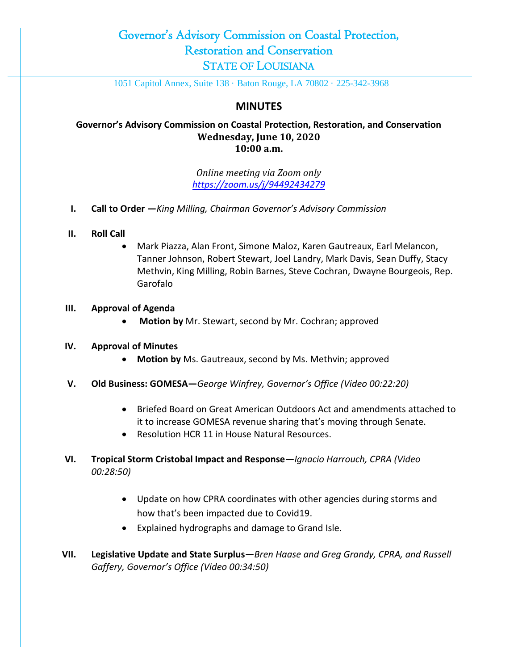## Governor's Advisory Commission on Coastal Protection, Restoration and Conservation STATE OF LOUISIANA

1051 Capitol Annex, Suite 138 · Baton Rouge, LA 70802 · 225-342-3968

## **MINUTES**

### **Governor's Advisory Commission on Coastal Protection, Restoration, and Conservation Wednesday, June 10, 2020 10:00 a.m.**

*Online meeting via Zoom only <https://zoom.us/j/94492434279>*

- **I. Call to Order —***King Milling, Chairman Governor's Advisory Commission*
- **II. Roll Call**
	- Mark Piazza, Alan Front, Simone Maloz, Karen Gautreaux, Earl Melancon, Tanner Johnson, Robert Stewart, Joel Landry, Mark Davis, Sean Duffy, Stacy Methvin, King Milling, Robin Barnes, Steve Cochran, Dwayne Bourgeois, Rep. Garofalo

#### **III. Approval of Agenda**

**Motion by** Mr. Stewart, second by Mr. Cochran; approved

#### **IV. Approval of Minutes**

- **Motion by** Ms. Gautreaux, second by Ms. Methvin; approved
- **V. Old Business: GOMESA—***George Winfrey, Governor's Office (Video 00:22:20)*
	- Briefed Board on Great American Outdoors Act and amendments attached to it to increase GOMESA revenue sharing that's moving through Senate.
	- Resolution HCR 11 in House Natural Resources.
- **VI. Tropical Storm Cristobal Impact and Response—***Ignacio Harrouch, CPRA (Video 00:28:50)*
	- Update on how CPRA coordinates with other agencies during storms and how that's been impacted due to Covid19.
	- Explained hydrographs and damage to Grand Isle.
- **VII. Legislative Update and State Surplus—***Bren Haase and Greg Grandy, CPRA, and Russell Gaffery, Governor's Office (Video 00:34:50)*